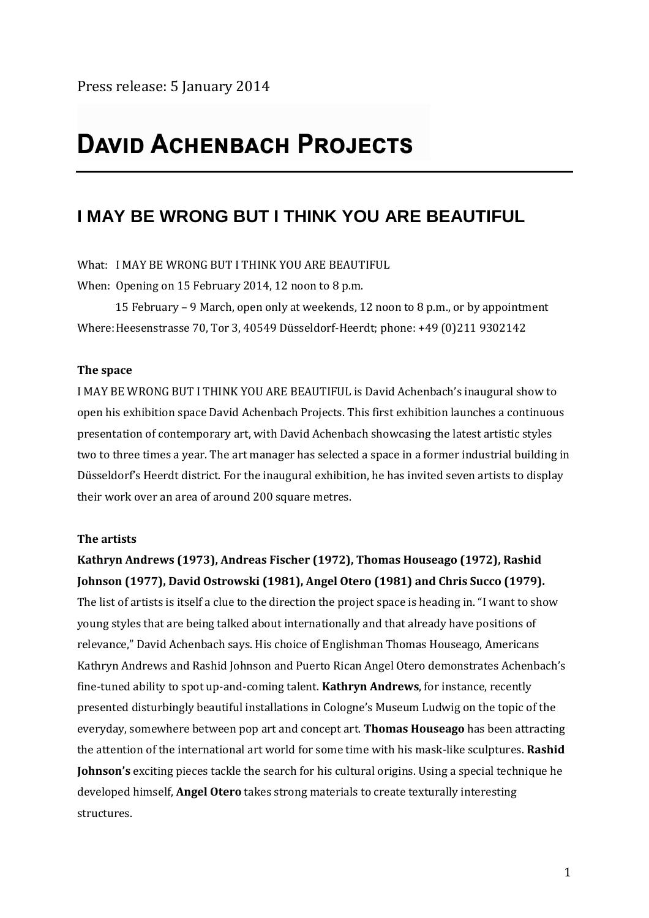# **DAVID ACHENBACH PROJECTS**

## **I MAY BE WRONG BUT I THINK YOU ARE BEAUTIFUL**

What: I MAY BE WRONG BUT I THINK YOU ARE BEAUTIFUL

When: Opening on 15 February 2014, 12 noon to 8 p.m.

15 February – 9 March, open only at weekends, 12 noon to 8 p.m., or by appointment Where: Heesenstrasse 70, Tor 3, 40549 Düsseldorf-Heerdt; phone: +49 (0)211 9302142

### **The space**

I MAY BE WRONG BUT I THINK YOU ARE BEAUTIFUL is David Achenbach's inaugural show to open his exhibition space David Achenbach Projects. This first exhibition launches a continuous presentation of contemporary art, with David Achenbach showcasing the latest artistic styles two to three times a year. The art manager has selected a space in a former industrial building in Düsseldorf's Heerdt district. For the inaugural exhibition, he has invited seven artists to display their work over an area of around 200 square metres.

#### **The artists**

## **Kathryn Andrews (1973), Andreas Fischer (1972), Thomas Houseago (1972), Rashid Johnson (1977), David Ostrowski (1981), Angel Otero (1981) and Chris Succo (1979).**

The list of artists is itself a clue to the direction the project space is heading in. "I want to show young styles that are being talked about internationally and that already have positions of relevance," David Achenbach says. His choice of Englishman Thomas Houseago, Americans Kathryn Andrews and Rashid Johnson and Puerto Rican Angel Otero demonstrates Achenbach's fine-tuned ability to spot up-and-coming talent. **Kathryn Andrews**, for instance, recently presented disturbingly beautiful installations in Cologne's Museum Ludwig on the topic of the everyday, somewhere between pop art and concept art. **Thomas Houseago** has been attracting the attention of the international art world for some time with his mask-like sculptures. **Rashid Johnson's** exciting pieces tackle the search for his cultural origins. Using a special technique he developed himself, **Angel Otero** takes strong materials to create texturally interesting structures.